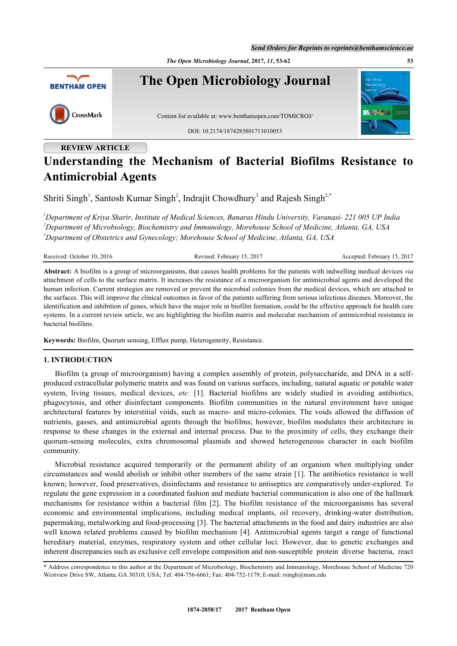*Send Orders for Reprints to reprints@benthamscience.ae*

*The Open Microbiology Journal***, 2017,** *11***, 53-62 53**



## **REVIEW ARTICLE**

# **Understanding the Mechanism of Bacterial Biofilms Resistance to Antimicrobial Agents**

Shriti Singh<sup>[1](#page-0-0)</sup>, Santosh Kumar Singh<sup>[2](#page-0-1)</sup>, Indrajit Chowdhury<sup>[3](#page-0-2)</sup> and Rajesh Singh<sup>[2,](#page-0-1)[\\*](#page-0-3)</sup>

<span id="page-0-2"></span><span id="page-0-1"></span><span id="page-0-0"></span>*<sup>1</sup>Department of Kriya Sharir, Institute of Medical Sciences, Banaras Hindu University, Varanasi- 221 005 UP India <sup>2</sup>Department of Microbiology, Biochemistry and Immunology, Morehouse School of Medicine, Atlanta, GA, USA <sup>3</sup>Department of Obstetrics and Gynecology; Morehouse School of Medicine, Atlanta, GA, USA*

Received: October 10, 2016 Revised: February 15, 2017 Accepted: February 15, 2017

**Abstract:** A biofilm is a group of microorganisms, that causes health problems for the patients with indwelling medical devices *via* attachment of cells to the surface matrix. It increases the resistance of a microorganism for antimicrobial agents and developed the human infection. Current strategies are removed or prevent the microbial colonies from the medical devices, which are attached to the surfaces. This will improve the clinical outcomes in favor of the patients suffering from serious infectious diseases. Moreover, the identification and inhibition of genes, which have the major role in biofilm formation, could be the effective approach for health care systems. In a current review article, we are highlighting the biofilm matrix and molecular mechanism of antimicrobial resistance in bacterial biofilms.

**Keywords:** Biofilm, Quorum sensing, Efflux pump, Heterogeneity, Resistance.

## **1. INTRODUCTION**

Biofilm (a group of microorganism) having a complex assembly of protein, polysaccharide, and DNA in a selfproduced extracellular polymeric matrix and was found on various surfaces, including, natural aquatic or potable water system, living tissues, medical devices, *etc.* [\[1](#page-5-0)]. Bacterial biofilms are widely studied in avoiding antibiotics, phagocytosis, and other disinfectant components. Biofilm communities in the natural environment have unique architectural features by interstitial voids, such as macro- and micro-colonies. The voids allowed the diffusion of nutrients, gasses, and antimicrobial agents through the biofilms; however, biofilm modulates their architecture in response to these changes in the external and internal process. Due to the proximity of cells, they exchange their quorum-sensing molecules, extra chromosomal plasmids and showed heterogeneous character in each biofilm community.

Microbial resistance acquired temporarily or the permanent ability of an organism when multiplying under circumstances and would abolish or inhibit other members of the same strain [[1](#page-5-0)]. The antibiotics resistance is well known; however, food preservatives, disinfectants and resistance to antiseptics are comparatively under-explored. To regulate the gene expression in a coordinated fashion and mediate bacterial communication is also one of the hallmark mechanisms for resistance within a bacterial film[[2\]](#page-5-1). The biofilm resistance of the microorganisms has several economic and environmental implications, including medical implants, oil recovery, drinking-water distribution, papermaking, metalworking and food-processing [\[3](#page-5-2)]. The bacterial attachments in the food and dairy industries are also well known related problems caused by biofilm mechanism [[4\]](#page-5-3). Antimicrobial agents target a range of functional hereditary material, enzymes, respiratory system and other cellular loci. However, due to genetic exchanges and inherent discrepancies such as exclusive cell envelope composition and non-susceptible protein diverse bacteria, react

<span id="page-0-3"></span><sup>\*</sup> Address correspondence to this author at the Department of Microbiology, Biochemistry and Immunology, Morehouse School of Medicine 720 Westview Drive SW, Atlanta, GA 30310, USA; Tel: 404-756-6661; Fax: 404-752-1179; E-mail: [rsingh@msm.edu](mailto:rsingh@msm.edu)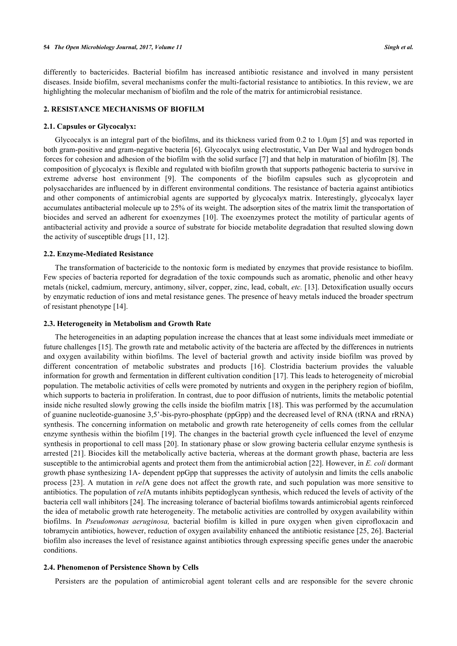differently to bactericides. Bacterial biofilm has increased antibiotic resistance and involved in many persistent diseases. Inside biofilm, several mechanisms confer the multi-factorial resistance to antibiotics. In this review, we are highlighting the molecular mechanism of biofilm and the role of the matrix for antimicrobial resistance.

## **2. RESISTANCE MECHANISMS OF BIOFILM**

#### **2.1. Capsules or Glycocalyx:**

Glycocalyx is an integral part of the biofilms, and its thickness varied from 0.2 to 1.0μm [[5\]](#page-5-4) and was reported in both gram-positive and gram-negative bacteria [[6\]](#page-5-5). Glycocalyx using electrostatic, Van Der Waal and hydrogen bonds forces for cohesion and adhesion of the biofilm with the solid surface [\[7](#page-5-6)] and that help in maturation of biofilm [[8\]](#page-5-7). The composition of glycocalyx is flexible and regulated with biofilm growth that supports pathogenic bacteria to survive in extreme adverse host environment[[9\]](#page-6-0). The components of the biofilm capsules such as glycoprotein and polysaccharides are influenced by in different environmental conditions. The resistance of bacteria against antibiotics and other components of antimicrobial agents are supported by glycocalyx matrix. Interestingly, glycocalyx layer accumulates antibacterial molecule up to 25% of its weight. The adsorption sites of the matrix limit the transportation of biocides and served an adherent for exoenzymes [[10](#page-6-1)]. The exoenzymes protect the motility of particular agents of antibacterial activity and provide a source of substrate for biocide metabolite degradation that resulted slowing down the activity of susceptible drugs [[11,](#page-6-2) [12\]](#page-6-3).

## **2.2. Enzyme-Mediated Resistance**

The transformation of bactericide to the nontoxic form is mediated by enzymes that provide resistance to biofilm. Few species of bacteria reported for degradation of the toxic compounds such as aromatic, phenolic and other heavy metals (nickel, cadmium, mercury, antimony, silver, copper, zinc, lead, cobalt, *etc.* [\[13](#page-6-4)]. Detoxification usually occurs by enzymatic reduction of ions and metal resistance genes. The presence of heavy metals induced the broader spectrum of resistant phenotype [[14\]](#page-6-5).

## **2.3. Heterogeneity in Metabolism and Growth Rate**

The heterogeneities in an adapting population increase the chances that at least some individuals meet immediate or future challenges [[15\]](#page-6-6). The growth rate and metabolic activity of the bacteria are affected by the differences in nutrients and oxygen availability within biofilms. The level of bacterial growth and activity inside biofilm was proved by different concentration of metabolic substrates and products [\[16](#page-6-7)]. Clostridia bacterium provides the valuable information for growth and fermentation in different cultivation condition [[17\]](#page-6-8). This leads to heterogeneity of microbial population. The metabolic activities of cells were promoted by nutrients and oxygen in the periphery region of biofilm, which supports to bacteria in proliferation. In contrast, due to poor diffusion of nutrients, limits the metabolic potential inside niche resulted slowly growing the cells inside the biofilm matrix [\[18](#page-6-9)]. This was performed by the accumulation of guanine nucleotide-guanosine 3,5'-bis-pyro-phosphate (ppGpp) and the decreased level of RNA (tRNA and rRNA) synthesis. The concerning information on metabolic and growth rate heterogeneity of cells comes from the cellular enzyme synthesis within the biofilm [[19](#page-6-10)]. The changes in the bacterial growth cycle influenced the level of enzyme synthesis in proportional to cell mass [[20](#page-6-11)]. In stationary phase or slow growing bacteria cellular enzyme synthesis is arrested [[21\]](#page-6-12). Biocides kill the metabolically active bacteria, whereas at the dormant growth phase, bacteria are less susceptible to the antimicrobial agents and protect them from the antimicrobial action [[22](#page-6-13)]. However, in *E. coli* dormant growth phase synthesizing 1A- dependent ppGpp that suppresses the activity of autolysin and limits the cells anabolic process [\[23\]](#page-6-14). A mutation in *rel*A gene does not affect the growth rate, and such population was more sensitive to antibiotics. The population of *rel*A mutants inhibits peptidoglycan synthesis, which reduced the levels of activity of the bacteria cell wall inhibitors [[24](#page-6-15)]. The increasing tolerance of bacterial biofilms towards antimicrobial agents reinforced the idea of metabolic growth rate heterogeneity. The metabolic activities are controlled by oxygen availability within biofilms. In *Pseudomonas aeruginosa,* bacterial biofilm is killed in pure oxygen when given ciprofloxacin and tobramycin antibiotics, however, reduction of oxygen availability enhanced the antibiotic resistance [\[25](#page-6-16), [26\]](#page-6-17). Bacterial biofilm also increases the level of resistance against antibiotics through expressing specific genes under the anaerobic conditions.

#### **2.4. Phenomenon of Persistence Shown by Cells**

Persisters are the population of antimicrobial agent tolerant cells and are responsible for the severe chronic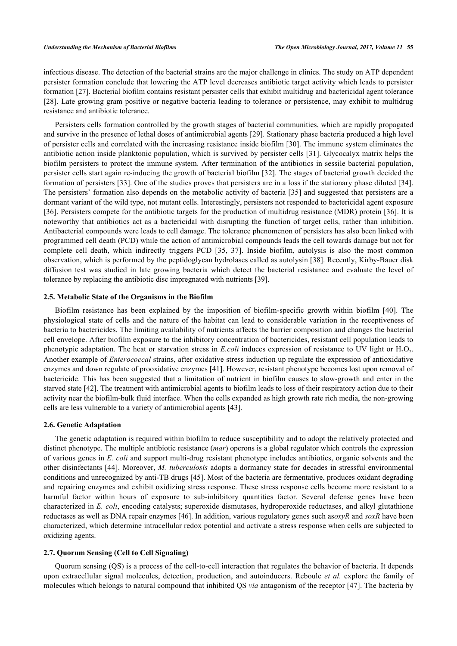infectious disease. The detection of the bacterial strains are the major challenge in clinics. The study on ATP dependent persister formation conclude that lowering the ATP level decreases antibiotic target activity which leads to persister formation [\[27](#page-6-18)]. Bacterial biofilm contains resistant persister cells that exhibit multidrug and bactericidal agent tolerance [\[28](#page-6-19)]. Late growing gram positive or negative bacteria leading to tolerance or persistence, may exhibit to multidrug resistance and antibiotic tolerance.

Persisters cells formation controlled by the growth stages of bacterial communities, which are rapidly propagated and survive in the presence of lethal doses of antimicrobial agents [[29](#page-7-0)]. Stationary phase bacteria produced a high level of persister cells and correlated with the increasing resistance inside biofilm [\[30\]](#page-7-1). The immune system eliminates the antibiotic action inside planktonic population, which is survived by persister cells [\[31\]](#page-7-2). Glycocalyx matrix helps the biofilm persisters to protect the immune system. After termination of the antibiotics in sessile bacterial population, persister cells start again re-inducing the growth of bacterial biofilm [[32\]](#page-7-3). The stages of bacterial growth decided the formation of persisters [[33](#page-7-4)]. One of the studies proves that persisters are in a loss if the stationary phase diluted [\[34\]](#page-7-5). The persisters' formation also depends on the metabolic activity of bacteria [\[35](#page-7-6)] and suggested that persisters are a dormant variant of the wild type, not mutant cells. Interestingly, persisters not responded to bactericidal agent exposure [\[36](#page-7-7)]. Persisters compete for the antibiotic targets for the production of multidrug resistance (MDR) protein [[36\]](#page-7-7). It is noteworthy that antibiotics act as a bactericidal with disrupting the function of target cells, rather than inhibition. Antibacterial compounds were leads to cell damage. The tolerance phenomenon of persisters has also been linked with programmed cell death (PCD) while the action of antimicrobial compounds leads the cell towards damage but not for complete cell death, which indirectly triggers PCD[[35](#page-7-6), [37](#page-7-8)]. Inside biofilm, autolysis is also the most common observation, which is performed by the peptidoglycan hydrolases called as autolysin [[38\]](#page-7-9). Recently, Kirby-Bauer disk diffusion test was studied in late growing bacteria which detect the bacterial resistance and evaluate the level of tolerance by replacing the antibiotic disc impregnated with nutrients [\[39](#page-7-10)].

## **2.5. Metabolic State of the Organisms in the Biofilm**

Biofilm resistance has been explained by the imposition of biofilm-specific growth within biofilm [\[40](#page-7-11)]. The physiological state of cells and the nature of the habitat can lead to considerable variation in the receptiveness of bacteria to bactericides. The limiting availability of nutrients affects the barrier composition and changes the bacterial cell envelope. After biofilm exposure to the inhibitory concentration of bactericides, resistant cell population leads to phenotypic adaptation. The heat or starvation stress in *E.coli* induces expression of resistance to UV light or  $H_2O_2$ . Another example of *Enterococcal* strains, after oxidative stress induction up regulate the expression of antioxidative enzymes and down regulate of prooxidative enzymes [[41\]](#page-7-12). However, resistant phenotype becomes lost upon removal of bactericide. This has been suggested that a limitation of nutrient in biofilm causes to slow-growth and enter in the starved state [\[42](#page-7-13)]. The treatment with antimicrobial agents to biofilm leads to loss of their respiratory action due to their activity near the biofilm-bulk fluid interface. When the cells expanded as high growth rate rich media, the non-growing cells are less vulnerable to a variety of antimicrobial agents [[43\]](#page-7-14).

## **2.6. Genetic Adaptation**

The genetic adaptation is required within biofilm to reduce susceptibility and to adopt the relatively protected and distinct phenotype. The multiple antibiotic resistance (*mar*) operons is a global regulator which controls the expression of various genes in *E. coli* and support multi-drug resistant phenotype includes antibiotics, organic solvents and the other disinfectants [[44](#page-7-15)]. Moreover, *M. tuberculosis* adopts a dormancy state for decades in stressful environmental conditions and unrecognized by anti-TB drugs [\[45\]](#page-7-16). Most of the bacteria are fermentative, produces oxidant degrading and repairing enzymes and exhibit oxidizing stress response. These stress response cells become more resistant to a harmful factor within hours of exposure to sub-inhibitory quantities factor. Several defense genes have been characterized in *E. coli*, encoding catalysts; superoxide dismutases, hydroperoxide reductases, and alkyl glutathione reductases as well as DNA repair enzymes [[46\]](#page-7-17). In addition, various regulatory genes such as*oxyR* and *soxR* have been characterized, which determine intracellular redox potential and activate a stress response when cells are subjected to oxidizing agents.

## **2.7. Quorum Sensing (Cell to Cell Signaling)**

Quorum sensing (QS) is a process of the cell-to-cell interaction that regulates the behavior of bacteria. It depends upon extracellular signal molecules, detection, production, and autoinducers. Reboule *et al.* explore the family of molecules which belongs to natural compound that inhibited QS *via* antagonism of the receptor [[47\]](#page-7-18). The bacteria by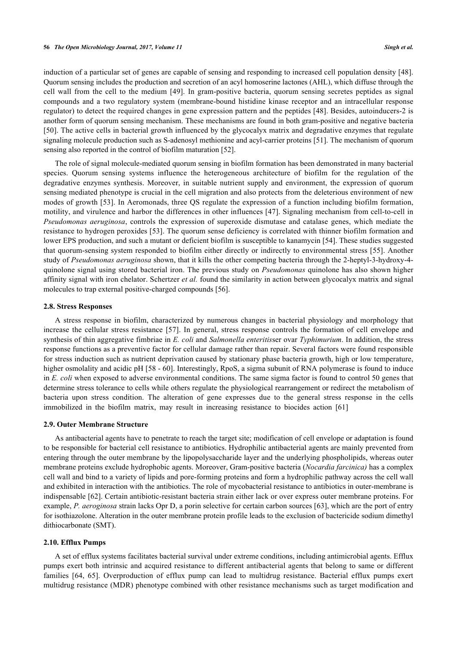induction of a particular set of genes are capable of sensing and responding to increased cell population density [\[48\]](#page-7-19). Quorum sensing includes the production and secretion of an acyl homoserine lactones (AHL), which diffuse through the cell wall from the cell to the medium[[49](#page-7-20)]. In gram-positive bacteria, quorum sensing secretes peptides as signal compounds and a two regulatory system (membrane-bound histidine kinase receptor and an intracellular response regulator) to detect the required changes in gene expression pattern and the peptides [[48\]](#page-7-19). Besides, autoinducers-2 is another form of quorum sensing mechanism. These mechanisms are found in both gram-positive and negative bacteria [\[50](#page-7-21)]. The active cells in bacterial growth influenced by the glycocalyx matrix and degradative enzymes that regulate signaling molecule production such as S-adenosyl methionine and acyl-carrier proteins [[51\]](#page-8-0). The mechanism of quorum sensing also reported in the control of biofilm maturation [\[52](#page-8-1)].

The role of signal molecule-mediated quorum sensing in biofilm formation has been demonstrated in many bacterial species. Quorum sensing systems influence the heterogeneous architecture of biofilm for the regulation of the degradative enzymes synthesis. Moreover, in suitable nutrient supply and environment, the expression of quorum sensing mediated phenotype is crucial in the cell migration and also protects from the deleterious environment of new modes of growth [\[53](#page-8-2)]. In Aeromonads, three QS regulate the expression of a function including biofilm formation, motility, and virulence and harbor the differences in other influences [\[47](#page-7-18)]. Signaling mechanism from cell-to-cell in *Pseudomonas aeruginosa*, controls the expression of superoxide dismutase and catalase genes, which mediate the resistance to hydrogen peroxides [\[53](#page-8-2)]. The quorum sense deficiency is correlated with thinner biofilm formation and lower EPS production, and such a mutant or deficient biofilm is susceptible to kanamycin [[54\]](#page-8-3). These studies suggested that quorum-sensing system responded to biofilm either directly or indirectly to environmental stress [[55\]](#page-8-4). Another study of *Pseudomonas aeruginosa* shown, that it kills the other competing bacteria through the 2-heptyl-3-hydroxy-4 quinolone signal using stored bacterial iron. The previous study on *Pseudomonas* quinolone has also shown higher affinity signal with iron chelator. Schertzer *et al.* found the similarity in action between glycocalyx matrix and signal molecules to trap external positive-charged compounds [[56\]](#page-8-5).

#### **2.8. Stress Responses**

A stress response in biofilm, characterized by numerous changes in bacterial physiology and morphology that increase the cellular stress resistance [\[57\]](#page-8-6). In general, stress response controls the formation of cell envelope and synthesis of thin aggregative fimbriae in *E. coli* and *Salmonella enteritis*ser ovar *Typhimurium*. In addition, the stress response functions as a preventive factor for cellular damage rather than repair. Several factors were found responsible for stress induction such as nutrient deprivation caused by stationary phase bacteria growth, high or low temperature, higher osmolality and acidic pH [[58](#page-8-7) - [60](#page-8-8)]. Interestingly, RpoS, a sigma subunit of RNA polymerase is found to induce in *E. coli* when exposed to adverse environmental conditions. The same sigma factor is found to control 50 genes that determine stress tolerance to cells while others regulate the physiological rearrangement or redirect the metabolism of bacteria upon stress condition. The alteration of gene expresses due to the general stress response in the cells immobilized in the biofilm matrix, may result in increasing resistance to biocides action [\[61](#page-8-9)]

#### **2.9. Outer Membrane Structure**

As antibacterial agents have to penetrate to reach the target site; modification of cell envelope or adaptation is found to be responsible for bacterial cell resistance to antibiotics. Hydrophilic antibacterial agents are mainly prevented from entering through the outer membrane by the lipopolysaccharide layer and the underlying phospholipids, whereas outer membrane proteins exclude hydrophobic agents. Moreover, Gram-positive bacteria (*Nocardia farcinica)* has a complex cell wall and bind to a variety of lipids and pore-forming proteins and form a hydrophilic pathway across the cell wall and exhibited in interaction with the antibiotics. The role of mycobacterial resistance to antibiotics in outer-membrane is indispensable [[62\]](#page-8-10). Certain antibiotic-resistant bacteria strain either lack or over express outer membrane proteins. For example, *P. aeroginosa* strain lacks Opr D, a porin selective for certain carbon sources [[63\]](#page-8-11), which are the port of entry for isothiazolone. Alteration in the outer membrane protein profile leads to the exclusion of bactericide sodium dimethyl dithiocarbonate (SMT).

## **2.10. Efflux Pumps**

A set of efflux systems facilitates bacterial survival under extreme conditions, including antimicrobial agents. Efflux pumps exert both intrinsic and acquired resistance to different antibacterial agents that belong to same or different families [\[64,](#page-8-12) [65\]](#page-8-13). Overproduction of efflux pump can lead to multidrug resistance. Bacterial efflux pumps exert multidrug resistance (MDR) phenotype combined with other resistance mechanisms such as target modification and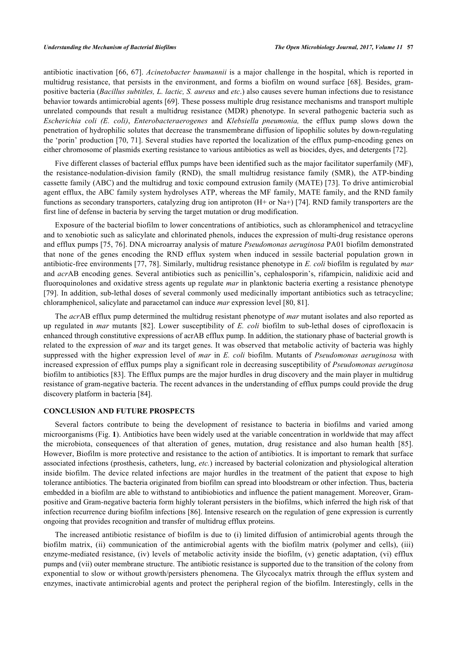antibiotic inactivation [\[66,](#page-8-14) [67](#page-8-15)]. *Acinetobacter baumannii* is a major challenge in the hospital, which is reported in multidrug resistance, that persists in the environment, and forms a biofilm on wound surface [\[68\]](#page-8-16). Besides, grampositive bacteria (*Bacillus subtitles, L. lactic, S. aureus* and *etc*.) also causes severe human infections due to resistance behavior towards antimicrobial agents [[69\]](#page-8-17). These possess multiple drug resistance mechanisms and transport multiple unrelated compounds that result a multidrug resistance (MDR) phenotype. In several pathogenic bacteria such as *Escherichia coli (E. coli)*, *Enterobacteraerogenes* and *Klebsiella pneumonia,* the efflux pump slows down the penetration of hydrophilic solutes that decrease the transmembrane diffusion of lipophilic solutes by down-regulating the 'porin' production [\[70,](#page-8-18) [71](#page-8-19)]. Several studies have reported the localization of the efflux pump-encoding genes on either chromosome of plasmids exerting resistance to various antibiotics as well as biocides, dyes, and detergents [[72\]](#page-9-0).

Five different classes of bacterial efflux pumps have been identified such as the major facilitator superfamily (MF), the resistance-nodulation-division family (RND), the small multidrug resistance family (SMR), the ATP-binding cassette family (ABC) and the multidrug and toxic compound extrusion family (MATE) [[73](#page-9-1)]. To drive antimicrobial agent efflux, the ABC family system hydrolyses ATP, whereas the MF family, MATE family, and the RND family functions as secondary transporters, catalyzing drug ion antiproton (H+ or Na+) [\[74\]](#page-9-2). RND family transporters are the first line of defense in bacteria by serving the target mutation or drug modification.

Exposure of the bacterial biofilm to lower concentrations of antibiotics, such as chloramphenicol and tetracycline and to xenobiotic such as salicylate and chlorinated phenols, induces the expression of multi-drug resistance operons and efflux pumps [\[75](#page-9-3), [76\]](#page-9-4). DNA microarray analysis of mature *Pseudomonas aeruginosa* PA01 biofilm demonstrated that none of the genes encoding the RND efflux system when induced in sessile bacterial population grown in antibiotic-free environments [\[77,](#page-9-5) [78\]](#page-9-6). Similarly, multidrug resistance phenotype in *E. coli* biofilm is regulated by *mar* and *acr*AB encoding genes. Several antibiotics such as penicillin's, cephalosporin's, rifampicin, nalidixic acid and fluoroquinolones and oxidative stress agents up regulate *mar* in planktonic bacteria exerting a resistance phenotype [\[79](#page-9-7)]. In addition, sub-lethal doses of several commonly used medicinally important antibiotics such as tetracycline; chloramphenicol, salicylate and paracetamol can induce *mar* expression level [\[80](#page-9-8), [81](#page-9-9)].

The *acr*AB efflux pump determined the multidrug resistant phenotype of *mar* mutant isolates and also reported as up regulated in *mar* mutants [\[82\]](#page-9-10). Lower susceptibility of *E. coli* biofilm to sub-lethal doses of ciprofloxacin is enhanced through constitutive expressions of acrAB efflux pump. In addition, the stationary phase of bacterial growth is related to the expression of *mar* and its target genes. It was observed that metabolic activity of bacteria was highly suppressed with the higher expression level of *mar* in *E. coli* biofilm. Mutants of *Pseudomonas aeruginosa* with increased expression of efflux pumps play a significant role in decreasing susceptibility of *Pseudomonas aeruginosa* biofilm to antibiotics [[83\]](#page-9-11). The Efflux pumps are the major hurdles in drug discovery and the main player in multidrug resistance of gram-negative bacteria. The recent advances in the understanding of efflux pumps could provide the drug discovery platform in bacteria [[84\]](#page-9-12).

## **CONCLUSION AND FUTURE PROSPECTS**

Several factors contribute to being the development of resistance to bacteria in biofilms and varied among microorganisms (Fig. **[1](#page-5-8)**). Antibiotics have been widely used at the variable concentration in worldwide that may affect the microbiota, consequences of that alteration of genes, mutation, drug resistance and also human health [\[85\]](#page-9-13). However, Biofilm is more protective and resistance to the action of antibiotics. It is important to remark that surface associated infections (prosthesis, catheters, lung, *etc.*) increased by bacterial colonization and physiological alteration inside biofilm. The device related infections are major hurdles in the treatment of the patient that expose to high tolerance antibiotics. The bacteria originated from biofilm can spread into bloodstream or other infection. Thus, bacteria embedded in a biofilm are able to withstand to antibiobiotics and influence the patient management. Moreover, Grampositive and Gram-negative bacteria form highly tolerant persisters in the biofilms, which inferred the high risk of that infection recurrence during biofilm infections [[86\]](#page-9-14). Intensive research on the regulation of gene expression is currently ongoing that provides recognition and transfer of multidrug efflux proteins.

The increased antibiotic resistance of biofilm is due to (i) limited diffusion of antimicrobial agents through the biofilm matrix, (ii) communication of the antimicrobial agents with the biofilm matrix (polymer and cells), (iii) enzyme-mediated resistance, (iv) levels of metabolic activity inside the biofilm, (v) genetic adaptation, (vi) efflux pumps and (vii) outer membrane structure. The antibiotic resistance is supported due to the transition of the colony from exponential to slow or without growth/persisters phenomena. The Glycocalyx matrix through the efflux system and enzymes, inactivate antimicrobial agents and protect the peripheral region of the biofilm. Interestingly, cells in the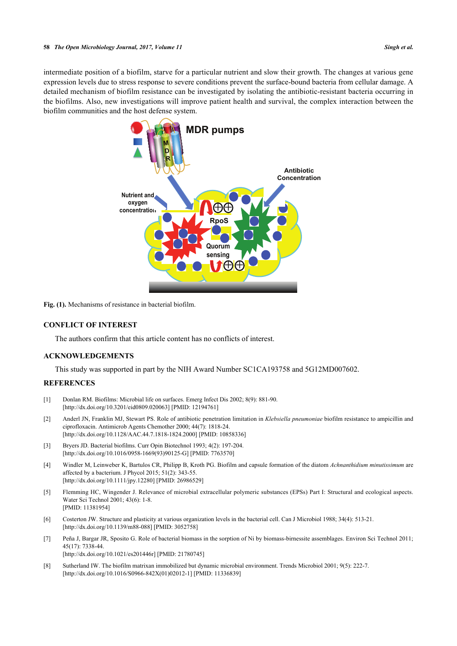<span id="page-5-8"></span>intermediate position of a biofilm, starve for a particular nutrient and slow their growth. The changes at various gene expression levels due to stress response to severe conditions prevent the surface-bound bacteria from cellular damage. A detailed mechanism of biofilm resistance can be investigated by isolating the antibiotic-resistant bacteria occurring in the biofilms. Also, new investigations will improve patient health and survival, the complex interaction between the biofilm communities and the host defense system.



**Fig. (1).** Mechanisms of resistance in bacterial biofilm.

## **CONFLICT OF INTEREST**

The authors confirm that this article content has no conflicts of interest.

## **ACKNOWLEDGEMENTS**

This study was supported in part by the NIH Award Number SC1CA193758 and 5G12MD007602.

## **REFERENCES**

- <span id="page-5-0"></span>[1] Donlan RM. Biofilms: Microbial life on surfaces. Emerg Infect Dis 2002; 8(9): 881-90. [\[http://dx.doi.org/10.3201/eid0809.020063\]](http://dx.doi.org/10.3201/eid0809.020063) [PMID: [12194761](http://www.ncbi.nlm.nih.gov/pubmed/12194761)]
- <span id="page-5-1"></span>[2] Anderl JN, Franklin MJ, Stewart PS. Role of antibiotic penetration limitation in *Klebsiella pneumoniae* biofilm resistance to ampicillin and ciprofloxacin. Antimicrob Agents Chemother 2000; 44(7): 1818-24. [\[http://dx.doi.org/10.1128/AAC.44.7.1818-1824.2000](http://dx.doi.org/10.1128/AAC.44.7.1818-1824.2000)] [PMID: [10858336\]](http://www.ncbi.nlm.nih.gov/pubmed/10858336)
- <span id="page-5-2"></span>[3] Bryers JD. Bacterial biofilms. Curr Opin Biotechnol 1993; 4(2): 197-204. [\[http://dx.doi.org/10.1016/0958-1669\(93\)90125-G](http://dx.doi.org/10.1016/0958-1669(93)90125-G)] [PMID: [7763570\]](http://www.ncbi.nlm.nih.gov/pubmed/7763570)
- <span id="page-5-3"></span>[4] Windler M, Leinweber K, Bartulos CR, Philipp B, Kroth PG. Biofilm and capsule formation of the diatom *Achnanthidium minutissimum* are affected by a bacterium. J Phycol 2015; 51(2): 343-55. [\[http://dx.doi.org/10.1111/jpy.12280](http://dx.doi.org/10.1111/jpy.12280)] [PMID: [26986529\]](http://www.ncbi.nlm.nih.gov/pubmed/26986529)
- <span id="page-5-4"></span>[5] Flemming HC, Wingender J. Relevance of microbial extracellular polymeric substances (EPSs) Part I: Structural and ecological aspects. Water Sci Technol 2001; 43(6): 1-8. [PMID: [11381954\]](http://www.ncbi.nlm.nih.gov/pubmed/11381954)
- <span id="page-5-5"></span>[6] Costerton JW. Structure and plasticity at various organization levels in the bacterial cell. Can J Microbiol 1988; 34(4): 513-21. [\[http://dx.doi.org/10.1139/m88-088\]](http://dx.doi.org/10.1139/m88-088) [PMID: [3052758](http://www.ncbi.nlm.nih.gov/pubmed/3052758)]
- <span id="page-5-6"></span>[7] Peña J, Bargar JR, Sposito G. Role of bacterial biomass in the sorption of Ni by biomass-birnessite assemblages. Environ Sci Technol 2011; 45(17): 7338-44. [\[http://dx.doi.org/10.1021/es201446r](http://dx.doi.org/10.1021/es201446r)] [PMID: [21780745\]](http://www.ncbi.nlm.nih.gov/pubmed/21780745)
- <span id="page-5-7"></span>[8] Sutherland IW. The biofilm matrixan immobilized but dynamic microbial environment. Trends Microbiol 2001; 9(5): 222-7. [\[http://dx.doi.org/10.1016/S0966-842X\(01\)02012-1\]](http://dx.doi.org/10.1016/S0966-842X(01)02012-1) [PMID: [11336839](http://www.ncbi.nlm.nih.gov/pubmed/11336839)]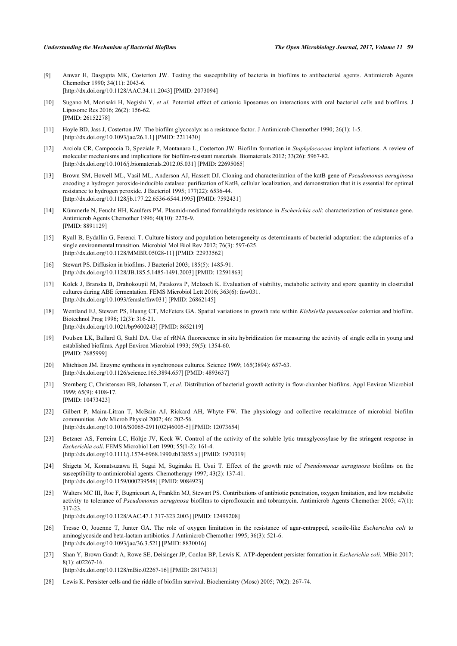- <span id="page-6-0"></span>[9] Anwar H, Dasgupta MK, Costerton JW. Testing the susceptibility of bacteria in biofilms to antibacterial agents. Antimicrob Agents Chemother 1990; 34(11): 2043-6. [\[http://dx.doi.org/10.1128/AAC.34.11.2043\]](http://dx.doi.org/10.1128/AAC.34.11.2043) [PMID: [2073094](http://www.ncbi.nlm.nih.gov/pubmed/2073094)]
- <span id="page-6-1"></span>[10] Sugano M, Morisaki H, Negishi Y, *et al.* Potential effect of cationic liposomes on interactions with oral bacterial cells and biofilms. J Liposome Res 2016; 26(2): 156-62. [PMID: [26152278\]](http://www.ncbi.nlm.nih.gov/pubmed/26152278)
- <span id="page-6-2"></span>[11] Hoyle BD, Jass J, Costerton JW. The biofilm glycocalyx as a resistance factor. J Antimicrob Chemother 1990; 26(1): 1-5. [\[http://dx.doi.org/10.1093/jac/26.1.1](http://dx.doi.org/10.1093/jac/26.1.1)] [PMID: [2211430\]](http://www.ncbi.nlm.nih.gov/pubmed/2211430)
- <span id="page-6-3"></span>[12] Arciola CR, Campoccia D, Speziale P, Montanaro L, Costerton JW. Biofilm formation in *Staphylococcus* implant infections. A review of molecular mechanisms and implications for biofilm-resistant materials. Biomaterials 2012; 33(26): 5967-82. [\[http://dx.doi.org/10.1016/j.biomaterials.2012.05.031\]](http://dx.doi.org/10.1016/j.biomaterials.2012.05.031) [PMID: [22695065](http://www.ncbi.nlm.nih.gov/pubmed/22695065)]
- <span id="page-6-4"></span>[13] Brown SM, Howell ML, Vasil ML, Anderson AJ, Hassett DJ. Cloning and characterization of the katB gene of *Pseudomonas aeruginosa* encoding a hydrogen peroxide-inducible catalase: purification of KatB, cellular localization, and demonstration that it is essential for optimal resistance to hydrogen peroxide. J Bacteriol 1995; 177(22): 6536-44. [\[http://dx.doi.org/10.1128/jb.177.22.6536-6544.1995\]](http://dx.doi.org/10.1128/jb.177.22.6536-6544.1995) [PMID: [7592431](http://www.ncbi.nlm.nih.gov/pubmed/7592431)]
- <span id="page-6-5"></span>[14] Kümmerle N, Feucht HH, Kaulfers PM. Plasmid-mediated formaldehyde resistance in *Escherichia coli*: characterization of resistance gene. Antimicrob Agents Chemother 1996; 40(10): 2276-9. [PMID: [8891129\]](http://www.ncbi.nlm.nih.gov/pubmed/8891129)
- <span id="page-6-6"></span>[15] Ryall B, Eydallin G, Ferenci T. Culture history and population heterogeneity as determinants of bacterial adaptation: the adaptomics of a single environmental transition. Microbiol Mol Biol Rev 2012; 76(3): 597-625. [\[http://dx.doi.org/10.1128/MMBR.05028-11](http://dx.doi.org/10.1128/MMBR.05028-11)] [PMID: [22933562\]](http://www.ncbi.nlm.nih.gov/pubmed/22933562)
- <span id="page-6-7"></span>[16] Stewart PS. Diffusion in biofilms. J Bacteriol 2003; 185(5): 1485-91. [\[http://dx.doi.org/10.1128/JB.185.5.1485-1491.2003\]](http://dx.doi.org/10.1128/JB.185.5.1485-1491.2003) [PMID: [12591863](http://www.ncbi.nlm.nih.gov/pubmed/12591863)]
- <span id="page-6-8"></span>[17] Kolek J, Branska B, Drahokoupil M, Patakova P, Melzoch K. Evaluation of viability, metabolic activity and spore quantity in clostridial cultures during ABE fermentation. FEMS Microbiol Lett 2016; 363(6): fnw031. [\[http://dx.doi.org/10.1093/femsle/fnw031\]](http://dx.doi.org/10.1093/femsle/fnw031) [PMID: [26862145](http://www.ncbi.nlm.nih.gov/pubmed/26862145)]
- <span id="page-6-9"></span>[18] Wentland EJ, Stewart PS, Huang CT, McFeters GA. Spatial variations in growth rate within *Klebsiella pneumoniae* colonies and biofilm. Biotechnol Prog 1996; 12(3): 316-21. [\[http://dx.doi.org/10.1021/bp9600243\]](http://dx.doi.org/10.1021/bp9600243) [PMID: [8652119](http://www.ncbi.nlm.nih.gov/pubmed/8652119)]
- <span id="page-6-10"></span>[19] Poulsen LK, Ballard G, Stahl DA. Use of rRNA fluorescence in situ hybridization for measuring the activity of single cells in young and established biofilms. Appl Environ Microbiol 1993; 59(5): 1354-60. [PMID: [7685999\]](http://www.ncbi.nlm.nih.gov/pubmed/7685999)
- <span id="page-6-11"></span>[20] Mitchison JM. Enzyme synthesis in synchronous cultures. Science 1969; 165(3894): 657-63. [\[http://dx.doi.org/10.1126/science.165.3894.657](http://dx.doi.org/10.1126/science.165.3894.657)] [PMID: [4893637\]](http://www.ncbi.nlm.nih.gov/pubmed/4893637)
- <span id="page-6-12"></span>[21] Sternberg C, Christensen BB, Johansen T, *et al.* Distribution of bacterial growth activity in flow-chamber biofilms. Appl Environ Microbiol 1999; 65(9): 4108-17. [PMID: [10473423\]](http://www.ncbi.nlm.nih.gov/pubmed/10473423)
- <span id="page-6-13"></span>[22] Gilbert P, Maira-Litran T, McBain AJ, Rickard AH, Whyte FW. The physiology and collective recalcitrance of microbial biofilm communities. Adv Microb Physiol 2002; 46: 202-56. [\[http://dx.doi.org/10.1016/S0065-2911\(02\)46005-5\]](http://dx.doi.org/10.1016/S0065-2911(02)46005-5) [PMID: [12073654](http://www.ncbi.nlm.nih.gov/pubmed/12073654)]
- <span id="page-6-14"></span>[23] Betzner AS, Ferreira LC, Höltje JV, Keck W. Control of the activity of the soluble lytic transglycosylase by the stringent response in *Escherichia coli*. FEMS Microbiol Lett 1990; 55(1-2): 161-4. [\[http://dx.doi.org/10.1111/j.1574-6968.1990.tb13855.x\]](http://dx.doi.org/10.1111/j.1574-6968.1990.tb13855.x) [PMID: [1970319](http://www.ncbi.nlm.nih.gov/pubmed/1970319)]
- <span id="page-6-15"></span>[24] Shigeta M, Komatsuzawa H, Sugai M, Suginaka H, Usui T. Effect of the growth rate of *Pseudomonas aeruginosa* biofilms on the susceptibility to antimicrobial agents. Chemotherapy 1997; 43(2): 137-41. [\[http://dx.doi.org/10.1159/000239548\]](http://dx.doi.org/10.1159/000239548) [PMID: [9084923](http://www.ncbi.nlm.nih.gov/pubmed/9084923)]
- <span id="page-6-16"></span>[25] Walters MC III, Roe F, Bugnicourt A, Franklin MJ, Stewart PS. Contributions of antibiotic penetration, oxygen limitation, and low metabolic activity to tolerance of *Pseudomonas aeruginosa* biofilms to ciprofloxacin and tobramycin. Antimicrob Agents Chemother 2003; 47(1): 317-23. [\[http://dx.doi.org/10.1128/AAC.47.1.317-323.2003](http://dx.doi.org/10.1128/AAC.47.1.317-323.2003)] [PMID: [12499208\]](http://www.ncbi.nlm.nih.gov/pubmed/12499208)
- <span id="page-6-17"></span>[26] Tresse O, Jouenne T, Junter GA. The role of oxygen limitation in the resistance of agar-entrapped, sessile-like *Escherichia coli* to aminoglycoside and beta-lactam antibiotics. J Antimicrob Chemother 1995; 36(3): 521-6. [\[http://dx.doi.org/10.1093/jac/36.3.521](http://dx.doi.org/10.1093/jac/36.3.521)] [PMID: [8830016\]](http://www.ncbi.nlm.nih.gov/pubmed/8830016)
- <span id="page-6-18"></span>[27] Shan Y, Brown Gandt A, Rowe SE, Deisinger JP, Conlon BP, Lewis K. ATP-dependent persister formation in *Escherichia coli*. MBio 2017; 8(1): e02267-16. [\[http://dx.doi.org/10.1128/mBio.02267-16](http://dx.doi.org/10.1128/mBio.02267-16)] [PMID: [28174313\]](http://www.ncbi.nlm.nih.gov/pubmed/28174313)
- <span id="page-6-19"></span>[28] Lewis K. Persister cells and the riddle of biofilm survival. Biochemistry (Mosc) 2005; 70(2): 267-74.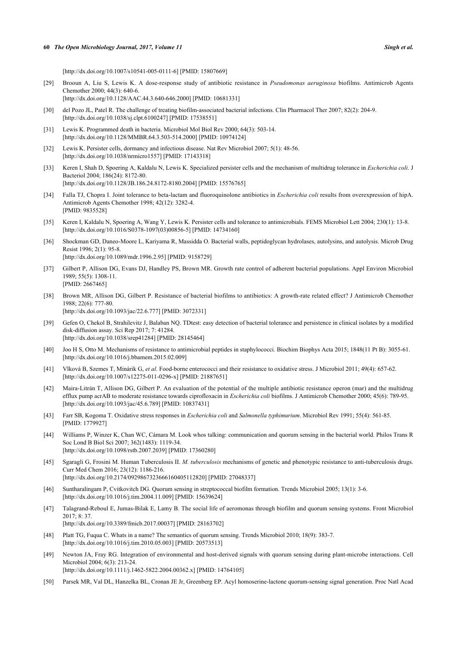[\[http://dx.doi.org/10.1007/s10541-005-0111-6\]](http://dx.doi.org/10.1007/s10541-005-0111-6) [PMID: [15807669](http://www.ncbi.nlm.nih.gov/pubmed/15807669)]

- <span id="page-7-0"></span>[29] Brooun A, Liu S, Lewis K. A dose-response study of antibiotic resistance in *Pseudomonas aeruginosa* biofilms. Antimicrob Agents Chemother 2000; 44(3): 640-6. [\[http://dx.doi.org/10.1128/AAC.44.3.640-646.2000](http://dx.doi.org/10.1128/AAC.44.3.640-646.2000)] [PMID: [10681331\]](http://www.ncbi.nlm.nih.gov/pubmed/10681331)
- <span id="page-7-1"></span>[30] del Pozo JL, Patel R. The challenge of treating biofilm-associated bacterial infections. Clin Pharmacol Ther 2007; 82(2): 204-9. [\[http://dx.doi.org/10.1038/sj.clpt.6100247](http://dx.doi.org/10.1038/sj.clpt.6100247)] [PMID: [17538551\]](http://www.ncbi.nlm.nih.gov/pubmed/17538551)
- <span id="page-7-2"></span>[31] Lewis K. Programmed death in bacteria. Microbiol Mol Biol Rev 2000; 64(3): 503-14. [\[http://dx.doi.org/10.1128/MMBR.64.3.503-514.2000](http://dx.doi.org/10.1128/MMBR.64.3.503-514.2000)] [PMID: [10974124\]](http://www.ncbi.nlm.nih.gov/pubmed/10974124)
- <span id="page-7-3"></span>[32] Lewis K. Persister cells, dormancy and infectious disease. Nat Rev Microbiol 2007; 5(1): 48-56. [\[http://dx.doi.org/10.1038/nrmicro1557](http://dx.doi.org/10.1038/nrmicro1557)] [PMID: [17143318\]](http://www.ncbi.nlm.nih.gov/pubmed/17143318)
- <span id="page-7-4"></span>[33] Keren I, Shah D, Spoering A, Kaldalu N, Lewis K. Specialized persister cells and the mechanism of multidrug tolerance in *Escherichia coli*. J Bacteriol 2004; 186(24): 8172-80. [\[http://dx.doi.org/10.1128/JB.186.24.8172-8180.2004\]](http://dx.doi.org/10.1128/JB.186.24.8172-8180.2004) [PMID: [15576765](http://www.ncbi.nlm.nih.gov/pubmed/15576765)]
- <span id="page-7-5"></span>[34] Falla TJ, Chopra I. Joint tolerance to beta-lactam and fluoroquinolone antibiotics in *Escherichia coli* results from overexpression of hipA. Antimicrob Agents Chemother 1998; 42(12): 3282-4. [PMID: [9835528\]](http://www.ncbi.nlm.nih.gov/pubmed/9835528)
- <span id="page-7-6"></span>[35] Keren I, Kaldalu N, Spoering A, Wang Y, Lewis K. Persister cells and tolerance to antimicrobials. FEMS Microbiol Lett 2004; 230(1): 13-8. [\[http://dx.doi.org/10.1016/S0378-1097\(03\)00856-5\]](http://dx.doi.org/10.1016/S0378-1097(03)00856-5) [PMID: [14734160](http://www.ncbi.nlm.nih.gov/pubmed/14734160)]
- <span id="page-7-7"></span>[36] Shockman GD, Daneo-Moore L, Kariyama R, Massidda O. Bacterial walls, peptidoglycan hydrolases, autolysins, and autolysis. Microb Drug Resist 1996; 2(1): 95-8. [\[http://dx.doi.org/10.1089/mdr.1996.2.95\]](http://dx.doi.org/10.1089/mdr.1996.2.95) [PMID: [9158729](http://www.ncbi.nlm.nih.gov/pubmed/9158729)]
- <span id="page-7-8"></span>[37] Gilbert P, Allison DG, Evans DJ, Handley PS, Brown MR. Growth rate control of adherent bacterial populations. Appl Environ Microbiol  $1989 \cdot 55(5) \cdot 1308 - 11$ [PMID: [2667465\]](http://www.ncbi.nlm.nih.gov/pubmed/2667465)
- <span id="page-7-9"></span>[38] Brown MR, Allison DG, Gilbert P. Resistance of bacterial biofilms to antibiotics: A growth-rate related effect? J Antimicrob Chemother 1988; 22(6): 777-80. [\[http://dx.doi.org/10.1093/jac/22.6.777](http://dx.doi.org/10.1093/jac/22.6.777)] [PMID: [3072331\]](http://www.ncbi.nlm.nih.gov/pubmed/3072331)
- <span id="page-7-10"></span>[39] Gefen O, Chekol B, Strahilevitz J, Balaban NQ. TDtest: easy detection of bacterial tolerance and persistence in clinical isolates by a modified disk-diffusion assay. Sci Rep 2017; 7: 41284. [\[http://dx.doi.org/10.1038/srep41284](http://dx.doi.org/10.1038/srep41284)] [PMID: [28145464\]](http://www.ncbi.nlm.nih.gov/pubmed/28145464)
- <span id="page-7-11"></span>[40] Joo H S, Otto M. Mechanisms of resistance to antimicrobial peptides in staphylococci. Biochim Biophys Acta 2015; 1848(11 Pt B): 3055-61. [\[http://dx.doi.org/10.1016/j.bbamem.2015.02.009\]](http://dx.doi.org/10.1016/j.bbamem.2015.02.009)
- <span id="page-7-12"></span>[41] Vlková B, Szemes T, Minárik G, *et al.* Food-borne enterococci and their resistance to oxidative stress. J Microbiol 2011; 49(4): 657-62. [\[http://dx.doi.org/10.1007/s12275-011-0296-x\]](http://dx.doi.org/10.1007/s12275-011-0296-x) [PMID: [21887651](http://www.ncbi.nlm.nih.gov/pubmed/21887651)]
- <span id="page-7-13"></span>[42] Maira-Litrán T, Allison DG, Gilbert P. An evaluation of the potential of the multiple antibiotic resistance operon (mar) and the multidrug efflux pump acrAB to moderate resistance towards ciprofloxacin in *Escherichia coli* biofilms. J Antimicrob Chemother 2000; 45(6): 789-95. [\[http://dx.doi.org/10.1093/jac/45.6.789](http://dx.doi.org/10.1093/jac/45.6.789)] [PMID: [10837431\]](http://www.ncbi.nlm.nih.gov/pubmed/10837431)
- <span id="page-7-14"></span>[43] Farr SB, Kogoma T. Oxidative stress responses in *Escherichia coli* and *Salmonella typhimurium*. Microbiol Rev 1991; 55(4): 561-85. [PMID: [1779927\]](http://www.ncbi.nlm.nih.gov/pubmed/1779927)
- <span id="page-7-15"></span>[44] Williams P, Winzer K, Chan WC, Cámara M. Look whos talking: communication and quorum sensing in the bacterial world. Philos Trans R Soc Lond B Biol Sci 2007; 362(1483): 1119-34. [\[http://dx.doi.org/10.1098/rstb.2007.2039\]](http://dx.doi.org/10.1098/rstb.2007.2039) [PMID: [17360280](http://www.ncbi.nlm.nih.gov/pubmed/17360280)]
- <span id="page-7-16"></span>[45] Sgaragli G, Frosini M. Human Tuberculosis II. *M. tuberculosis* mechanisms of genetic and phenotypic resistance to anti-tuberculosis drugs. Curr Med Chem 2016; 23(12): 1186-216. [\[http://dx.doi.org/10.2174/0929867323666160405112820\]](http://dx.doi.org/10.2174/0929867323666160405112820) [PMID: [27048337](http://www.ncbi.nlm.nih.gov/pubmed/27048337)]
- <span id="page-7-17"></span>[46] Suntharalingam P, Cvitkovitch DG. Quorum sensing in streptococcal biofilm formation. Trends Microbiol 2005; 13(1): 3-6. [\[http://dx.doi.org/10.1016/j.tim.2004.11.009\]](http://dx.doi.org/10.1016/j.tim.2004.11.009) [PMID: [15639624](http://www.ncbi.nlm.nih.gov/pubmed/15639624)]
- <span id="page-7-18"></span>[47] Talagrand-Reboul E, Jumas-Bilak E, Lamy B. The social life of aeromonas through biofilm and quorum sensing systems. Front Microbiol 2017; 8: 37. [\[http://dx.doi.org/10.3389/fmicb.2017.00037](http://dx.doi.org/10.3389/fmicb.2017.00037)] [PMID: [28163702](http://www.ncbi.nlm.nih.gov/pubmed/28163702)]
- <span id="page-7-19"></span>[48] Platt TG, Fuqua C. Whats in a name? The semantics of quorum sensing. Trends Microbiol 2010; 18(9): 383-7. [\[http://dx.doi.org/10.1016/j.tim.2010.05.003\]](http://dx.doi.org/10.1016/j.tim.2010.05.003) [PMID: [20573513](http://www.ncbi.nlm.nih.gov/pubmed/20573513)]
- <span id="page-7-20"></span>[49] Newton JA, Fray RG. Integration of environmental and host-derived signals with quorum sensing during plant-microbe interactions. Cell Microbiol 2004; 6(3): 213-24. [\[http://dx.doi.org/10.1111/j.1462-5822.2004.00362.x\]](http://dx.doi.org/10.1111/j.1462-5822.2004.00362.x) [PMID: [14764105](http://www.ncbi.nlm.nih.gov/pubmed/14764105)]
- <span id="page-7-21"></span>[50] Parsek MR, Val DL, Hanzelka BL, Cronan JE Jr, Greenberg EP. Acyl homoserine-lactone quorum-sensing signal generation. Proc Natl Acad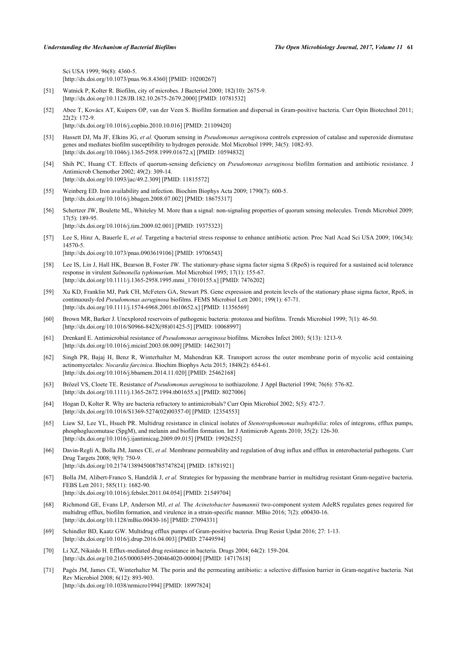Sci USA 1999; 96(8): 4360-5. [\[http://dx.doi.org/10.1073/pnas.96.8.4360](http://dx.doi.org/10.1073/pnas.96.8.4360)] [PMID: [10200267](http://www.ncbi.nlm.nih.gov/pubmed/10200267)]

- <span id="page-8-0"></span>[51] Watnick P, Kolter R. Biofilm, city of microbes. J Bacteriol 2000; 182(10): 2675-9. [\[http://dx.doi.org/10.1128/JB.182.10.2675-2679.2000\]](http://dx.doi.org/10.1128/JB.182.10.2675-2679.2000) [PMID: [10781532](http://www.ncbi.nlm.nih.gov/pubmed/10781532)]
- <span id="page-8-1"></span>[52] Abee T, Kovács AT, Kuipers OP, van der Veen S. Biofilm formation and dispersal in Gram-positive bacteria. Curr Opin Biotechnol 2011; 22(2): 172-9. [\[http://dx.doi.org/10.1016/j.copbio.2010.10.016\]](http://dx.doi.org/10.1016/j.copbio.2010.10.016) [PMID: [21109420](http://www.ncbi.nlm.nih.gov/pubmed/21109420)]
- <span id="page-8-2"></span>[53] Hassett DJ, Ma JF, Elkins JG, *et al.* Quorum sensing in *Pseudomonas aeruginosa* controls expression of catalase and superoxide dismutase genes and mediates biofilm susceptibility to hydrogen peroxide. Mol Microbiol 1999; 34(5): 1082-93. [\[http://dx.doi.org/10.1046/j.1365-2958.1999.01672.x\]](http://dx.doi.org/10.1046/j.1365-2958.1999.01672.x) [PMID: [10594832](http://www.ncbi.nlm.nih.gov/pubmed/10594832)]
- <span id="page-8-3"></span>[54] Shih PC, Huang CT. Effects of quorum-sensing deficiency on *Pseudomonas aeruginosa* biofilm formation and antibiotic resistance. J Antimicrob Chemother 2002; 49(2): 309-14. [\[http://dx.doi.org/10.1093/jac/49.2.309](http://dx.doi.org/10.1093/jac/49.2.309)] [PMID: [11815572\]](http://www.ncbi.nlm.nih.gov/pubmed/11815572)
- <span id="page-8-4"></span>[55] Weinberg ED. Iron availability and infection. Biochim Biophys Acta 2009; 1790(7): 600-5. [\[http://dx.doi.org/10.1016/j.bbagen.2008.07.002](http://dx.doi.org/10.1016/j.bbagen.2008.07.002)] [PMID: [18675317\]](http://www.ncbi.nlm.nih.gov/pubmed/18675317)
- <span id="page-8-5"></span>[56] Schertzer JW, Boulette ML, Whiteley M. More than a signal: non-signaling properties of quorum sensing molecules. Trends Microbiol 2009; 17(5): 189-95. [\[http://dx.doi.org/10.1016/j.tim.2009.02.001\]](http://dx.doi.org/10.1016/j.tim.2009.02.001) [PMID: [19375323](http://www.ncbi.nlm.nih.gov/pubmed/19375323)]
- <span id="page-8-6"></span>[57] Lee S, Hinz A, Bauerle E, et al. Targeting a bacterial stress response to enhance antibiotic action. Proc Natl Acad Sci USA 2009; 106(34): 14570-5. [\[http://dx.doi.org/10.1073/pnas.0903619106](http://dx.doi.org/10.1073/pnas.0903619106)] [PMID: [19706543](http://www.ncbi.nlm.nih.gov/pubmed/19706543)]
- <span id="page-8-7"></span>[58] Lee IS, Lin J, Hall HK, Bearson B, Foster JW. The stationary-phase sigma factor sigma S (RpoS) is required for a sustained acid tolerance response in virulent *Salmonella typhimurium*. Mol Microbiol 1995; 17(1): 155-67. [\[http://dx.doi.org/10.1111/j.1365-2958.1995.mmi\\_17010155.x](http://dx.doi.org/10.1111/j.1365-2958.1995.mmi_17010155.x)] [PMID: [7476202\]](http://www.ncbi.nlm.nih.gov/pubmed/7476202)
- [59] Xu KD, Franklin MJ, Park CH, McFeters GA, Stewart PS. Gene expression and protein levels of the stationary phase sigma factor, RpoS, in continuously-fed *Pseudomonas aeruginosa* biofilms. FEMS Microbiol Lett 2001; 199(1): 67-71. [\[http://dx.doi.org/10.1111/j.1574-6968.2001.tb10652.x\]](http://dx.doi.org/10.1111/j.1574-6968.2001.tb10652.x) [PMID: [11356569](http://www.ncbi.nlm.nih.gov/pubmed/11356569)]
- <span id="page-8-8"></span>[60] Brown MR, Barker J. Unexplored reservoirs of pathogenic bacteria: protozoa and biofilms. Trends Microbiol 1999; 7(1): 46-50. [\[http://dx.doi.org/10.1016/S0966-842X\(98\)01425-5\]](http://dx.doi.org/10.1016/S0966-842X(98)01425-5) [PMID: [10068997](http://www.ncbi.nlm.nih.gov/pubmed/10068997)]
- <span id="page-8-9"></span>[61] Drenkard E. Antimicrobial resistance of *Pseudomonas aeruginosa* biofilms. Microbes Infect 2003; 5(13): 1213-9. [\[http://dx.doi.org/10.1016/j.micinf.2003.08.009\]](http://dx.doi.org/10.1016/j.micinf.2003.08.009) [PMID: [14623017](http://www.ncbi.nlm.nih.gov/pubmed/14623017)]
- <span id="page-8-10"></span>[62] Singh PR, Bajaj H, Benz R, Winterhalter M, Mahendran KR. Transport across the outer membrane porin of mycolic acid containing actinomycetales: *Nocardia farcinica*. Biochim Biophys Acta 2015; 1848(2): 654-61. [\[http://dx.doi.org/10.1016/j.bbamem.2014.11.020\]](http://dx.doi.org/10.1016/j.bbamem.2014.11.020) [PMID: [25462168](http://www.ncbi.nlm.nih.gov/pubmed/25462168)]
- <span id="page-8-11"></span>[63] Brözel VS, Cloete TE. Resistance of *Pseudomonas aeruginosa* to isothiazolone. J Appl Bacteriol 1994; 76(6): 576-82. [\[http://dx.doi.org/10.1111/j.1365-2672.1994.tb01655.x\]](http://dx.doi.org/10.1111/j.1365-2672.1994.tb01655.x) [PMID: [8027006](http://www.ncbi.nlm.nih.gov/pubmed/8027006)]
- <span id="page-8-12"></span>[64] Hogan D, Kolter R. Why are bacteria refractory to antimicrobials? Curr Opin Microbiol 2002; 5(5): 472-7. [\[http://dx.doi.org/10.1016/S1369-5274\(02\)00357-0\]](http://dx.doi.org/10.1016/S1369-5274(02)00357-0) [PMID: [12354553](http://www.ncbi.nlm.nih.gov/pubmed/12354553)]
- <span id="page-8-13"></span>[65] Liaw SJ, Lee YL, Hsueh PR. Multidrug resistance in clinical isolates of *Stenotrophomonas maltophilia*: roles of integrons, efflux pumps, phosphoglucomutase (SpgM), and melanin and biofilm formation. Int J Antimicrob Agents 2010; 35(2): 126-30. [\[http://dx.doi.org/10.1016/j.ijantimicag.2009.09.015](http://dx.doi.org/10.1016/j.ijantimicag.2009.09.015)] [PMID: [19926255\]](http://www.ncbi.nlm.nih.gov/pubmed/19926255)
- <span id="page-8-14"></span>[66] Davin-Regli A, Bolla JM, James CE, *et al.* Membrane permeability and regulation of drug influx and efflux in enterobacterial pathogens. Curr Drug Targets 2008; 9(9): 750-9. [\[http://dx.doi.org/10.2174/138945008785747824\]](http://dx.doi.org/10.2174/138945008785747824) [PMID: [18781921](http://www.ncbi.nlm.nih.gov/pubmed/18781921)]
- <span id="page-8-15"></span>[67] Bolla JM, Alibert-Franco S, Handzlik J, *et al.* Strategies for bypassing the membrane barrier in multidrug resistant Gram-negative bacteria. FEBS Lett 2011; 585(11): 1682-90. [\[http://dx.doi.org/10.1016/j.febslet.2011.04.054](http://dx.doi.org/10.1016/j.febslet.2011.04.054)] [PMID: [21549704\]](http://www.ncbi.nlm.nih.gov/pubmed/21549704)
- <span id="page-8-16"></span>[68] Richmond GE, Evans LP, Anderson MJ, *et al.* The *Acinetobacter baumannii* two-component system AdeRS regulates genes required for multidrug efflux, biofilm formation, and virulence in a strain-specific manner. MBio 2016; 7(2): e00430-16. [\[http://dx.doi.org/10.1128/mBio.00430-16](http://dx.doi.org/10.1128/mBio.00430-16)] [PMID: [27094331\]](http://www.ncbi.nlm.nih.gov/pubmed/27094331)
- <span id="page-8-17"></span>[69] Schindler BD, Kaatz GW. Multidrug efflux pumps of Gram-positive bacteria. Drug Resist Updat 2016; 27: 1-13. [\[http://dx.doi.org/10.1016/j.drup.2016.04.003\]](http://dx.doi.org/10.1016/j.drup.2016.04.003) [PMID: [27449594](http://www.ncbi.nlm.nih.gov/pubmed/27449594)]
- <span id="page-8-18"></span>[70] Li XZ, Nikaido H. Efflux-mediated drug resistance in bacteria. Drugs 2004; 64(2): 159-204. [\[http://dx.doi.org/10.2165/00003495-200464020-00004](http://dx.doi.org/10.2165/00003495-200464020-00004)] [PMID: [14717618\]](http://www.ncbi.nlm.nih.gov/pubmed/14717618)
- <span id="page-8-19"></span>[71] Pagès JM, James CE, Winterhalter M. The porin and the permeating antibiotic: a selective diffusion barrier in Gram-negative bacteria. Nat Rev Microbiol 2008; 6(12): 893-903. [\[http://dx.doi.org/10.1038/nrmicro1994](http://dx.doi.org/10.1038/nrmicro1994)] [PMID: [18997824\]](http://www.ncbi.nlm.nih.gov/pubmed/18997824)